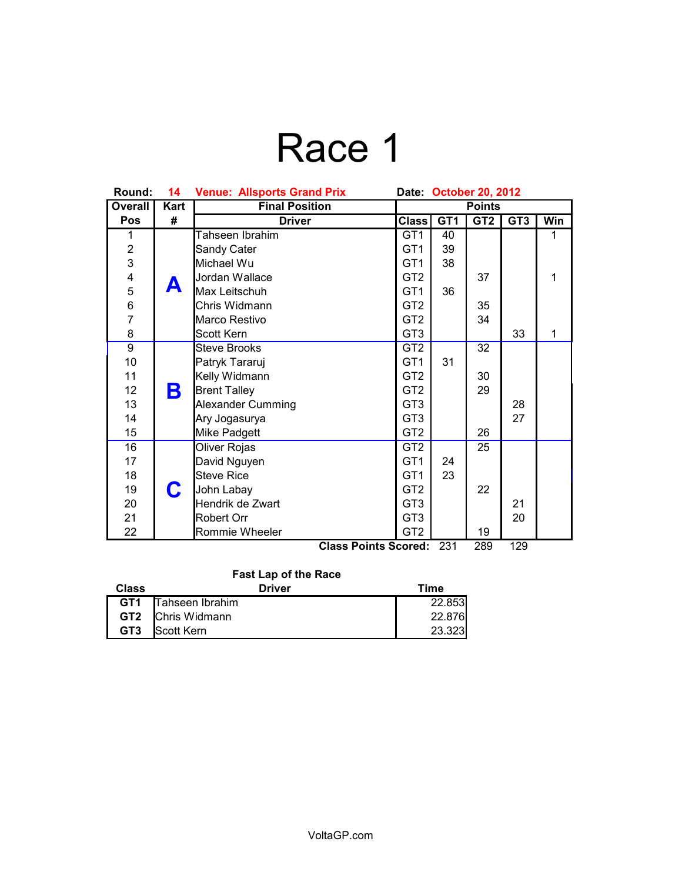## Race 1

| Round:                                           | 14   | <b>Venue: Allsports Grand Prix</b><br>Date: October 20, 2012 |                 |                 |                 |                 |     |
|--------------------------------------------------|------|--------------------------------------------------------------|-----------------|-----------------|-----------------|-----------------|-----|
| <b>Overall</b>                                   | Kart | <b>Final Position</b>                                        | <b>Points</b>   |                 |                 |                 |     |
| Pos                                              | #    | <b>Driver</b>                                                | <b>Class</b>    | GT <sub>1</sub> | GT <sub>2</sub> | GT <sub>3</sub> | Win |
| 1                                                |      | Tahseen Ibrahim                                              | GT <sub>1</sub> | 40              |                 |                 | 1   |
| $\overline{c}$                                   |      | Sandy Cater                                                  | GT <sub>1</sub> | 39              |                 |                 |     |
| $\overline{3}$                                   |      | Michael Wu                                                   | GT <sub>1</sub> | 38              |                 |                 |     |
| 4                                                |      | Jordan Wallace                                               | GT <sub>2</sub> |                 | 37              |                 | 1   |
| $\frac{5}{6}$                                    | А    | Max Leitschuh                                                | GT <sub>1</sub> | 36              |                 |                 |     |
|                                                  |      | Chris Widmann                                                | GT <sub>2</sub> |                 | 35              |                 |     |
| $\overline{7}$                                   |      | Marco Restivo                                                | GT <sub>2</sub> |                 | 34              |                 |     |
| 8                                                |      | Scott Kern                                                   | GT <sub>3</sub> |                 |                 | 33              | 1   |
| $\overline{9}$                                   |      | <b>Steve Brooks</b>                                          | GT <sub>2</sub> |                 | 32              |                 |     |
| 10                                               |      | Patryk Tararuj                                               | GT <sub>1</sub> | 31              |                 |                 |     |
| 11                                               |      | Kelly Widmann                                                | GT <sub>2</sub> |                 | 30              |                 |     |
| 12                                               | Β    | <b>Brent Talley</b>                                          | GT <sub>2</sub> |                 | 29              |                 |     |
| 13                                               |      | <b>Alexander Cumming</b>                                     | GT <sub>3</sub> |                 |                 | 28              |     |
| 14                                               |      | Ary Jogasurya                                                | GT <sub>3</sub> |                 |                 | 27              |     |
| 15                                               |      | Mike Padgett                                                 | GT <sub>2</sub> |                 | 26              |                 |     |
| 16                                               |      | Oliver Rojas                                                 | GT <sub>2</sub> |                 | 25              |                 |     |
| 17                                               |      | David Nguyen                                                 | GT <sub>1</sub> | 24              |                 |                 |     |
| 18                                               |      | <b>Steve Rice</b>                                            | GT <sub>1</sub> | 23              |                 |                 |     |
| 19                                               | C    | John Labay                                                   | GT <sub>2</sub> |                 | 22              |                 |     |
| 20                                               |      | Hendrik de Zwart                                             | GT <sub>3</sub> |                 |                 | 21              |     |
| 21                                               |      | Robert Orr                                                   | GT <sub>3</sub> |                 |                 | 20              |     |
| 22                                               |      | Rommie Wheeler                                               | GT <sub>2</sub> |                 | 19              |                 |     |
| 129<br>231<br>289<br><b>Class Points Scored:</b> |      |                                                              |                 |                 |                 |                 |     |

## **Fast Lap of the Race**

| Class           | Driver                     | Time   |
|-----------------|----------------------------|--------|
|                 | <b>GT1</b> Tahseen Ibrahim | 22.853 |
|                 | <b>GT2</b> Chris Widmann   | 22.876 |
| GT <sub>3</sub> | Scott Kern                 | 23.323 |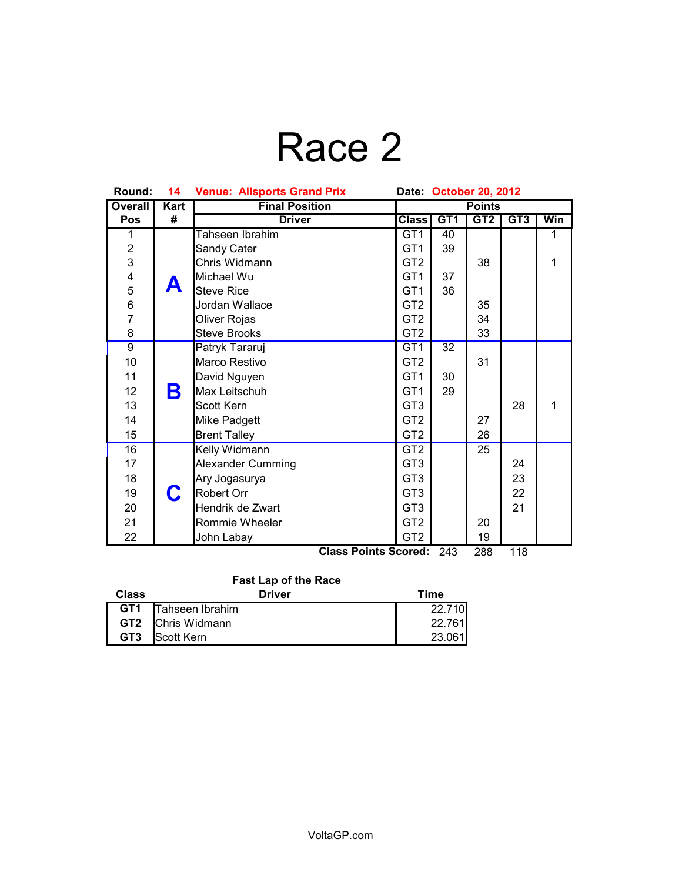## Race 2

| Round:                  | 14          | <b>Venue: Allsports Grand Prix</b><br>Date October 20, 2012 |                 |     |     |     |     |
|-------------------------|-------------|-------------------------------------------------------------|-----------------|-----|-----|-----|-----|
| <b>Overall</b>          | <b>Kart</b> | <b>Final Position</b>                                       | <b>Points</b>   |     |     |     |     |
| Pos                     | #           | <b>Driver</b>                                               | <b>Class</b>    | GT1 | GT2 | GT3 | Win |
| 1                       |             | Tahseen Ibrahim                                             | GT <sub>1</sub> | 40  |     |     | 1   |
| $\overline{c}$          |             | Sandy Cater                                                 | GT <sub>1</sub> | 39  |     |     |     |
| 3                       |             | Chris Widmann                                               | GT <sub>2</sub> |     | 38  |     | 1   |
| $\overline{\mathbf{4}}$ |             | Michael Wu                                                  | GT <sub>1</sub> | 37  |     |     |     |
|                         | А           | <b>Steve Rice</b>                                           | GT <sub>1</sub> | 36  |     |     |     |
| 5<br>6<br>7             |             | Jordan Wallace                                              | GT <sub>2</sub> |     | 35  |     |     |
|                         |             | Oliver Rojas                                                | GT <sub>2</sub> |     | 34  |     |     |
| 8                       |             | <b>Steve Brooks</b>                                         | GT <sub>2</sub> |     | 33  |     |     |
| $\overline{9}$          |             | Patryk Tararuj                                              | GT <sub>1</sub> | 32  |     |     |     |
| 10                      |             | Marco Restivo                                               | GT <sub>2</sub> |     | 31  |     |     |
| 11                      |             | David Nguyen                                                | GT <sub>1</sub> | 30  |     |     |     |
| 12                      | Β           | Max Leitschuh                                               | GT <sub>1</sub> | 29  |     |     |     |
| 13                      |             | Scott Kern                                                  | GT <sub>3</sub> |     |     | 28  | 1   |
| 14                      |             | Mike Padgett                                                | GT <sub>2</sub> |     | 27  |     |     |
| 15                      |             | <b>Brent Talley</b>                                         | GT <sub>2</sub> |     | 26  |     |     |
| 16                      |             | Kelly Widmann                                               | GT <sub>2</sub> |     | 25  |     |     |
| 17                      |             | <b>Alexander Cumming</b>                                    | GT <sub>3</sub> |     |     | 24  |     |
| 18                      | C           | Ary Jogasurya                                               | GT <sub>3</sub> |     |     | 23  |     |
| 19                      |             | <b>Robert Orr</b>                                           | GT <sub>3</sub> |     |     | 22  |     |
| 20                      |             | Hendrik de Zwart                                            | GT <sub>3</sub> |     |     | 21  |     |
| 21                      |             | Rommie Wheeler                                              | GT <sub>2</sub> |     | 20  |     |     |
| 22                      |             | John Labay                                                  | GT <sub>2</sub> |     | 19  |     |     |
|                         |             | <b>Class Points Scored:</b>                                 |                 | 243 | 288 | 118 |     |

**Fast Lap of the Race**

| Class           | <b>Driver</b>            | Time   |  |  |  |
|-----------------|--------------------------|--------|--|--|--|
|                 | GT1 Tahseen Ibrahim      | 22.710 |  |  |  |
|                 | <b>GT2</b> Chris Widmann | 22.761 |  |  |  |
| GT <sub>3</sub> | <b>Scott Kern</b>        | 23.061 |  |  |  |